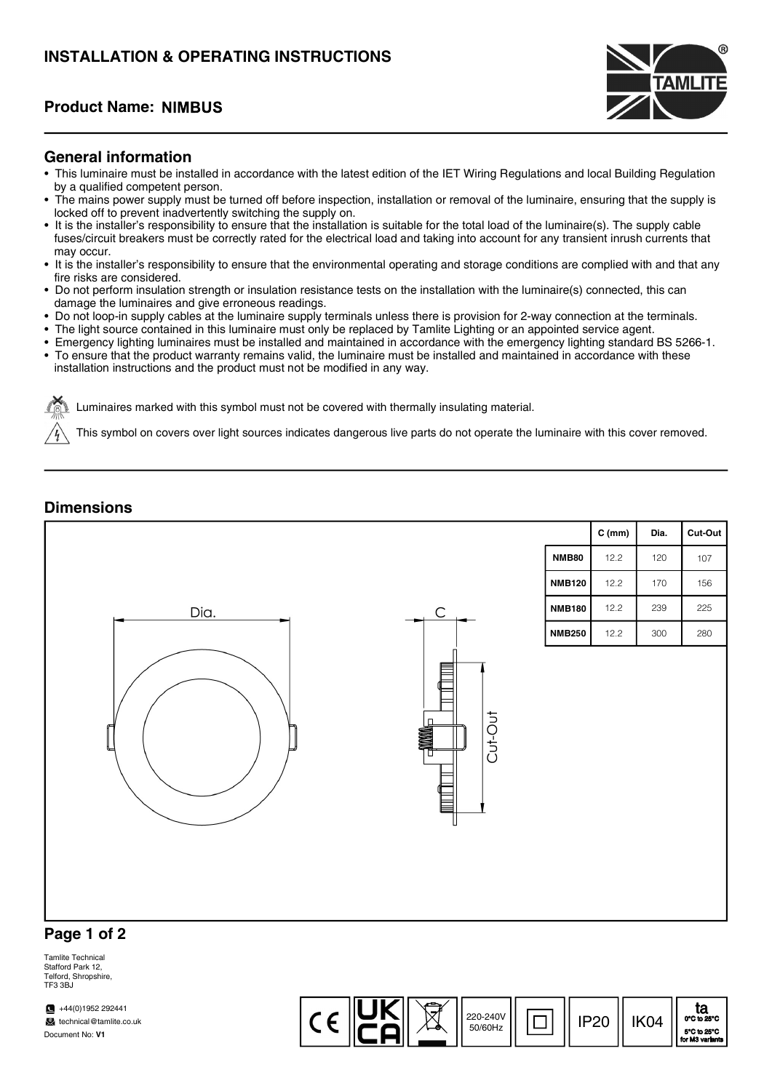## INSTALLATION & OPERATING INSTRUCTIONS

### Product Name:



#### General information

- This luminaire must be installed in accordance with the latest edition of the IET Wiring Regulations and local Building Regulation by a qualified competent person.
- The mains power supply must be turned off before inspection, installation or removal of the luminaire, ensuring that the supply is locked off to prevent inadvertently switching the supply on.
- It is the installer's responsibility to ensure that the installation is suitable for the total load of the luminaire(s). The supply cable fuses/circuit breakers must be correctly rated for the electrical load and taking into account for any transient inrush currents that may occur.
- It is the installer's responsibility to ensure that the environmental operating and storage conditions are complied with and that any fire risks are considered.
- Do not perform insulation strength or insulation resistance tests on the installation with the luminaire(s) connected, this can damage the luminaires and give erroneous readings.
- Do not loop-in supply cables at the luminaire supply terminals unless there is provision for 2-way connection at the terminals.
- The light source contained in this luminaire must only be replaced by Tamlite Lighting or an appointed service agent.
- Emergency lighting luminaires must be installed and maintained in accordance with the emergency lighting standard BS 5266-1.
- To ensure that the product warranty remains valid, the luminaire must be installed and maintained in accordance with these installation instructions and the product must not be modified in any way.

Luminaires marked with this symbol must not be covered with thermally insulating material.

This symbol on covers over light sources indicates dangerous live parts do not operate the luminaire with this cover removed.

#### **Dimensions**



#### Page 1 of 2

Tamlite Technical Stafford Park 12, Telford, Shropshire, TE3 3BJ

 $\sqrt{44(0)}$ 1952 292441 technical@tamlite.co.uk Document No: V1